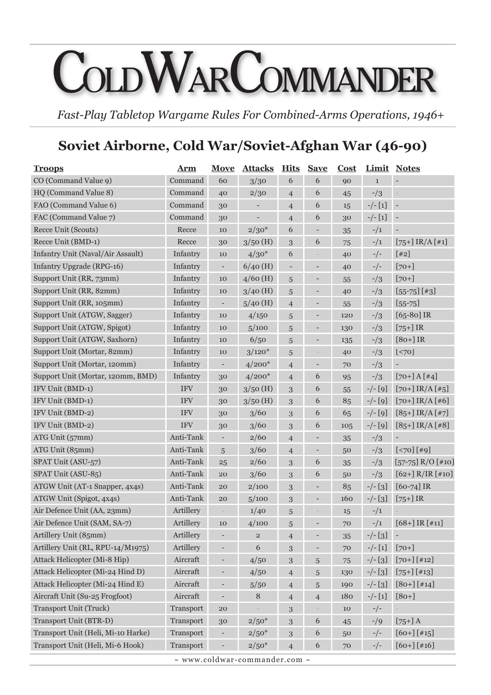# COLDWARCOMMANDER

*Fast-Play Tabletop Wargame Rules For Combined-Arms Operations, 1946+*

# **Soviet Airborne, Cold War/Soviet-Afghan War (46-90)**

| <b>Troops</b>                      | Arm        | Move                     | <b>Attacks Hits Save</b> |                          |                          | Cost | Limit         | <b>Notes</b>             |
|------------------------------------|------------|--------------------------|--------------------------|--------------------------|--------------------------|------|---------------|--------------------------|
| CO (Command Value 9)               | Command    | 60                       | 3/30                     | 6                        | 6                        | 90   | $\mathbf 1$   | $\overline{\phantom{a}}$ |
| HQ (Command Value 8)               | Command    | 40                       | 2/30                     | $\overline{4}$           | 6                        | 45   | $-1/3$        | $\overline{a}$           |
| FAO (Command Value 6)              | Command    | 30                       | -                        | $\overline{4}$           | 6                        | 15   | $-/- [1]$     | $\blacksquare$           |
| FAC (Command Value 7)              | Command    | 30                       | $\qquad \qquad -$        | $\overline{4}$           | 6                        | 30   | $-/- [1]$     | $\overline{\phantom{a}}$ |
| Recce Unit (Scouts)                | Recce      | 10                       | $2/30*$                  | 6                        | -                        | 35   | $-1/1$        | $\overline{\phantom{m}}$ |
| Recce Unit (BMD-1)                 | Recce      | 30                       | $3/50$ (H)               | 3                        | 6                        | 75   | $^{-}/1$      | $[75+]$ IR/A $[41]$      |
| Infantry Unit (Naval/Air Assault)  | Infantry   | 10                       | $4/30*$                  | 6                        | $\qquad \qquad -$        | 40   | $-/-$         | [42]                     |
| Infantry Upgrade (RPG-16)          | Infantry   | $\overline{\phantom{a}}$ | $6/40$ (H)               | $\overline{\phantom{a}}$ | $\overline{\phantom{a}}$ | 40   | $-/-$         | $[70+]$                  |
| Support Unit (RR, 73mm)            | Infantry   | 10                       | $4/60$ (H)               | 5                        | -                        | 55   | $-1/3$        | $[70+]$                  |
| Support Unit (RR, 82mm)            | Infantry   | 10                       | $3/40$ (H)               | 5                        | -                        | 40   | $-1/3$        | $[55-75]$ $[43]$         |
| Support Unit (RR, 105mm)           | Infantry   | -                        | $5/40$ (H)               | $\overline{4}$           | -                        | 55   | $-1/3$        | $[55 - 75]$              |
| Support Unit (ATGW, Sagger)        | Infantry   | 10                       | 4/150                    | 5                        | -                        | 120  | $-1/3$        | $[65-80]$ IR             |
| Support Unit (ATGW, Spigot)        | Infantry   | 10                       | 5/100                    | 5                        | -                        | 130  | $-1/3$        | $[75+]$ IR               |
| Support Unit (ATGW, Saxhorn)       | Infantry   | 10                       | 6/50                     | 5                        | -                        | 135  | $-1/3$        | $[80+]$ IR               |
| Support Unit (Mortar, 82mm)        | Infantry   | 10                       | $3/120*$                 | 5                        | ÷                        | 40   | $-1/3$        | $[70]$                   |
| Support Unit (Mortar, 120mm)       | Infantry   | ÷                        | $4/200*$                 | $\overline{4}$           | $\overline{\phantom{0}}$ | 70   | $-1/3$        |                          |
| Support Unit (Mortar, 120mm, BMD)  | Infantry   | 30                       | $4/200*$                 | $\overline{4}$           | 6                        | 95   | $-1/3$        | $[70+]$ A $[44]$         |
| IFV Unit (BMD-1)                   | <b>IFV</b> | 30                       | $3/50$ (H)               | $\boldsymbol{3}$         | 6                        | 55   | $-/-$ [9]     | $[70+]$ IR/A $[#5]$      |
| IFV Unit (BMD-1)                   | <b>IFV</b> | 30                       | $3/50$ (H)               | 3                        | 6                        | 85   | $-/-$ [9]     | $[70+]$ IR/A [#6]        |
| IFV Unit (BMD-2)                   | <b>IFV</b> | 30                       | 3/60                     | $\mathbf{3}$             | 6                        | 65   | $-/-$ [9]     | $[85+]$ IR/A $[#7]$      |
| IFV Unit (BMD-2)                   | <b>IFV</b> | 30                       | 3/60                     | 3                        | 6                        | 105  | $-/-$ [9]     | $[85+]$ IR/A [#8]        |
| ATG Unit (57mm)                    | Anti-Tank  | $\overline{\phantom{0}}$ | 2/60                     | $\overline{4}$           | -                        | 35   | $\frac{-}{3}$ |                          |
| ATG Unit (85mm)                    | Anti-Tank  | 5                        | 3/60                     | $\overline{4}$           | $\overline{\phantom{0}}$ | 50   | $-1/3$        | $[\times 70] [\#9]$      |
| SPAT Unit (ASU-57)                 | Anti-Tank  | 25                       | 2/60                     | $\boldsymbol{3}$         | 6                        | 35   | $-1/3$        | $[57-75]$ R/O [#10]      |
| SPAT Unit (ASU-85)                 | Anti-Tank  | 20                       | 3/60                     | 3                        | 6                        | 50   | $-1/3$        | $[62+] R/IR [410]$       |
| ATGW Unit (AT-1 Snapper, 4x4s)     | Anti-Tank  | 20                       | 2/100                    | 3                        | -                        | 85   | $-/-$ [3]     | $[60-74]$ IR             |
| ATGW Unit (Spigot, 4x4s)           | Anti-Tank  | 20                       | 5/100                    | 3                        | $\overline{\phantom{0}}$ | 160  | $-/-$ [3]     | $[75+]$ IR               |
| Air Defence Unit (AA, 23mm)        | Artillery  |                          | 1/40                     | 5                        | -                        | 15   | $-1/1$        |                          |
| Air Defence Unit (SAM, SA-7)       | Artillery  | 10                       | 4/100                    | 5                        | -                        | 70   | $-1/1$        | $[68+]$ IR [#11]         |
| Artillery Unit (85mm)              | Artillery  |                          | $\overline{2}$           | $\overline{4}$           | -                        | 35   | $-/-$ [3]     | ÷                        |
| Artillery Unit (RL, RPU-14/M1975)  | Artillery  |                          | 6                        | 3                        | ÷                        | 70   | $-/- [1]$     | $[70+]$                  |
| Attack Helicopter (Mi-8 Hip)       | Aircraft   | -                        | 4/50                     | $\mathbf{3}$             | $\sqrt{5}$               | 75   | $-/-$ [3]     | $[70+]$ [#12]            |
| Attack Helicopter (Mi-24 Hind D)   | Aircraft   | -                        | 4/50                     | $\overline{4}$           | $\sqrt{5}$               | 130  | $-/-$ [3]     | $[75+]$ [#13]            |
| Attack Helicopter (Mi-24 Hind E)   | Aircraft   |                          | 5/50                     | $\overline{4}$           | $\overline{5}$           | 190  | $-/-$ [3]     | $[80+]$ [#14]            |
| Aircraft Unit (Su-25 Frogfoot)     | Aircraft   | -                        | $\, 8$                   | $\overline{4}$           | $\overline{4}$           | 180  | $-/- [1]$     | $[80+]$                  |
| <b>Transport Unit (Truck)</b>      | Transport  | 20                       |                          | $\sqrt{3}$               | $\overline{a}$           | 10   | $-/-$         |                          |
| Transport Unit (BTR-D)             | Transport  | 30                       | $2/50*$                  | 3                        | $\boldsymbol{6}$         | 45   | $-19$         | $[75+]$ A                |
| Transport Unit (Heli, Mi-10 Harke) | Transport  |                          | $2/50*$                  | 3                        | 6                        | 50   | $-/-$         | $[60+]$ [#15]            |
| Transport Unit (Heli, Mi-6 Hook)   | Transport  |                          | $2/50*$                  | $\overline{4}$           | 6                        | 70   | $-/-$         | $[60+]$ [#16]            |

 $\sim$  www.coldwar-commander.com  $\sim$